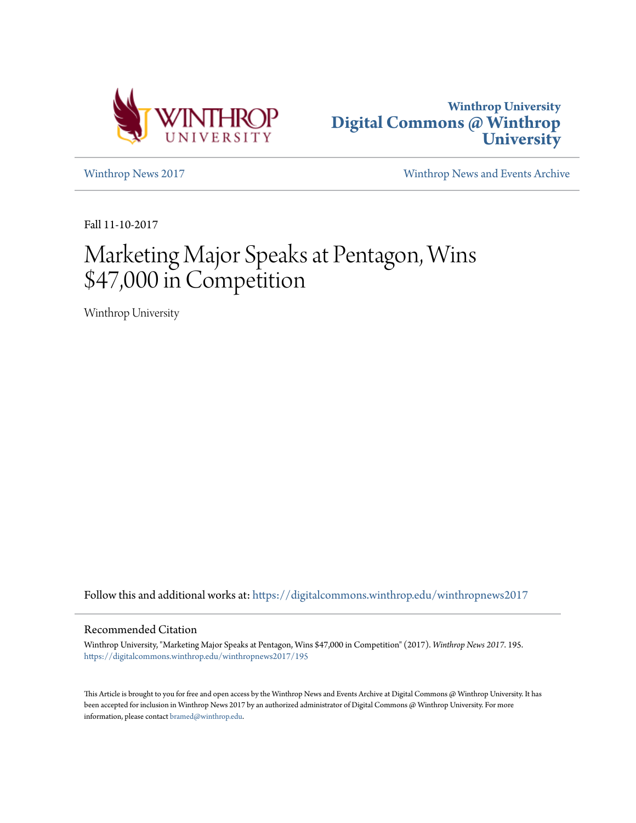



[Winthrop News 2017](https://digitalcommons.winthrop.edu/winthropnews2017?utm_source=digitalcommons.winthrop.edu%2Fwinthropnews2017%2F195&utm_medium=PDF&utm_campaign=PDFCoverPages) [Winthrop News and Events Archive](https://digitalcommons.winthrop.edu/winthropnewsarchives?utm_source=digitalcommons.winthrop.edu%2Fwinthropnews2017%2F195&utm_medium=PDF&utm_campaign=PDFCoverPages)

Fall 11-10-2017

# Marketing Major Speaks at Pentagon, Wins \$47,000 in Competition

Winthrop University

Follow this and additional works at: [https://digitalcommons.winthrop.edu/winthropnews2017](https://digitalcommons.winthrop.edu/winthropnews2017?utm_source=digitalcommons.winthrop.edu%2Fwinthropnews2017%2F195&utm_medium=PDF&utm_campaign=PDFCoverPages)

### Recommended Citation

Winthrop University, "Marketing Major Speaks at Pentagon, Wins \$47,000 in Competition" (2017). *Winthrop News 2017*. 195. [https://digitalcommons.winthrop.edu/winthropnews2017/195](https://digitalcommons.winthrop.edu/winthropnews2017/195?utm_source=digitalcommons.winthrop.edu%2Fwinthropnews2017%2F195&utm_medium=PDF&utm_campaign=PDFCoverPages)

This Article is brought to you for free and open access by the Winthrop News and Events Archive at Digital Commons @ Winthrop University. It has been accepted for inclusion in Winthrop News 2017 by an authorized administrator of Digital Commons @ Winthrop University. For more information, please contact [bramed@winthrop.edu](mailto:bramed@winthrop.edu).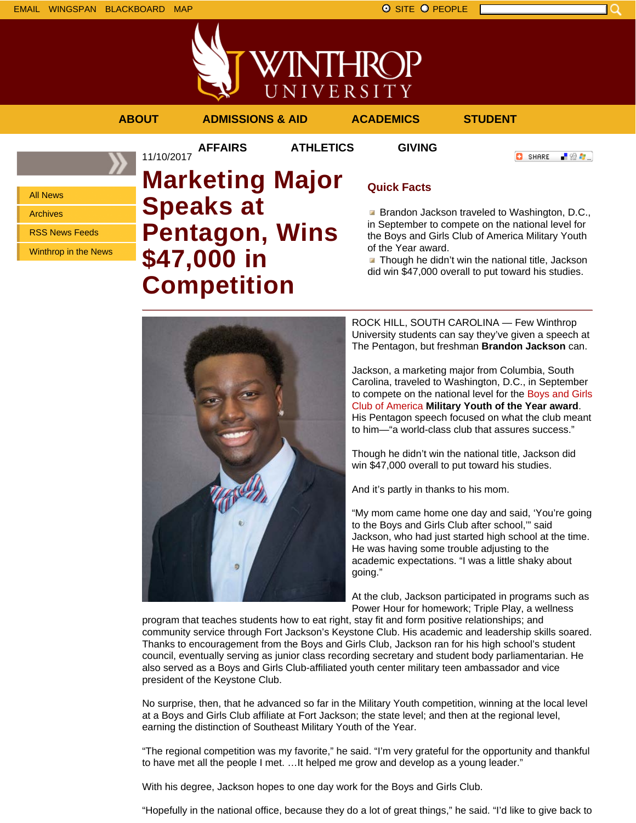

**AFFAIRS ATHLETICS GIVING**

**O** SHARE

上没身。

All News

Archives

RSS News Feeds

Winthrop in the News

## 11/10/2017 **Marketing Major Speaks at Pentagon, Wins \$47,000 in Competition**

## **Quick Facts**

**Brandon Jackson traveled to Washington, D.C.,** in September to compete on the national level for the Boys and Girls Club of America Military Youth of the Year award.

 $\blacksquare$  Though he didn't win the national title, Jackson did win \$47,000 overall to put toward his studies.

ROCK HILL, SOUTH CAROLINA — Few Winthrop University students can say they've given a speech at The Pentagon, but freshman **Brandon Jackson** can.

Jackson, a marketing major from Columbia, South Carolina, traveled to Washington, D.C., in September to compete on the national level for the Boys and Girls Club of America **Military Youth of the Year award**. His Pentagon speech focused on what the club meant to him—"a world-class club that assures success."

Though he didn't win the national title, Jackson did win \$47,000 overall to put toward his studies.

And it's partly in thanks to his mom.

"My mom came home one day and said, 'You're going to the Boys and Girls Club after school,'" said Jackson, who had just started high school at the time. He was having some trouble adjusting to the academic expectations. "I was a little shaky about going."

At the club, Jackson participated in programs such as Power Hour for homework; Triple Play, a wellness

program that teaches students how to eat right, stay fit and form positive relationships; and community service through Fort Jackson's Keystone Club. His academic and leadership skills soared. Thanks to encouragement from the Boys and Girls Club, Jackson ran for his high school's student council, eventually serving as junior class recording secretary and student body parliamentarian. He also served as a Boys and Girls Club-affiliated youth center military teen ambassador and vice president of the Keystone Club.

No surprise, then, that he advanced so far in the Military Youth competition, winning at the local level at a Boys and Girls Club affiliate at Fort Jackson; the state level; and then at the regional level, earning the distinction of Southeast Military Youth of the Year.

"The regional competition was my favorite," he said. "I'm very grateful for the opportunity and thankful to have met all the people I met. …It helped me grow and develop as a young leader."

With his degree, Jackson hopes to one day work for the Boys and Girls Club.

"Hopefully in the national office, because they do a lot of great things," he said. "I'd like to give back to